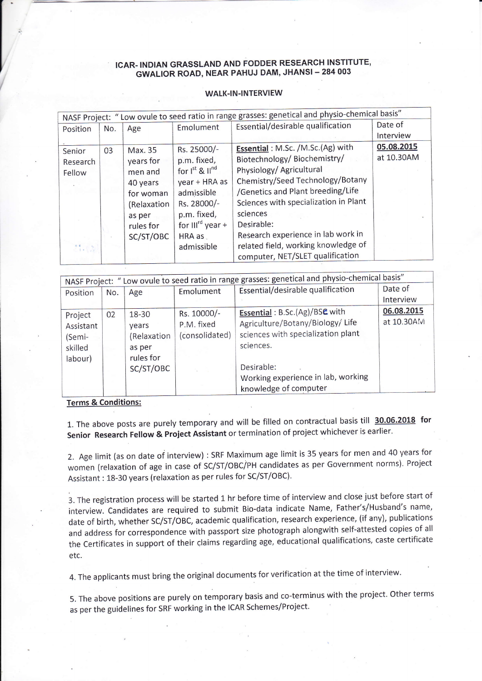## ICAR.INDIAN GRASSLAND AND FODDER RESEARGH INSTITUTE, GWALIOR ROAD, NEAR PAHUJ DAM, JHANSI- 284 OO3

## WALK-IN-INTERVIEW

| NASF Project: " Low ovule to seed ratio in range grasses: genetical and physio-chemical basis" |     |             |                          |                                       |            |  |  |  |
|------------------------------------------------------------------------------------------------|-----|-------------|--------------------------|---------------------------------------|------------|--|--|--|
| Position                                                                                       | No. | Age         | Emolument                | Essential/desirable qualification     | Date of    |  |  |  |
|                                                                                                |     |             |                          |                                       | Interview  |  |  |  |
| Senior                                                                                         | 03  | Max. 35     | Rs. 25000/-              | Essential: M.Sc. /M.Sc. (Ag) with     | 05.08.2015 |  |  |  |
| Research                                                                                       |     | years for   | p.m. fixed,              | Biotechnology/ Biochemistry/          | at 10.30AM |  |  |  |
| Fellow                                                                                         |     | men and     | for $I^{st}$ & $II^{nd}$ | Physiology/ Agricultural              |            |  |  |  |
|                                                                                                |     | 40 years    | year + HRA as            | Chemistry/Seed Technology/Botany      |            |  |  |  |
|                                                                                                |     | for woman   | admissible               | /Genetics and Plant breeding/Life     |            |  |  |  |
|                                                                                                |     | (Relaxation | Rs. 28000/-              | Sciences with specialization in Plant |            |  |  |  |
|                                                                                                |     | as per      | p.m. fixed,              | sciences                              |            |  |  |  |
|                                                                                                |     | rules for   | for $III^{rd}$ year +    | Desirable:                            |            |  |  |  |
|                                                                                                |     | SC/ST/OBC   | $HRA$ as                 | Research experience in lab work in    |            |  |  |  |
| $\mathcal{L}_{\text{tot}}^{\text{R}}$                                                          |     |             | admissible               | related field, working knowledge of   |            |  |  |  |
|                                                                                                |     |             |                          | computer, NET/SLET qualification      |            |  |  |  |

| NASF Project: " Low ovule to seed ratio in range grasses: genetical and physio-chemical basis" |     |             |                |                                    |            |  |  |  |  |
|------------------------------------------------------------------------------------------------|-----|-------------|----------------|------------------------------------|------------|--|--|--|--|
| Position                                                                                       | No. | Age         | Emolument      | Essential/desirable qualification  | Date of    |  |  |  |  |
|                                                                                                |     |             |                |                                    | Interview  |  |  |  |  |
| Project                                                                                        | 02  | 18-30       | Rs. 10000/-    | Essential: B.Sc.(Ag)/BSC with      | 06.08.2015 |  |  |  |  |
| Assistant                                                                                      |     | vears       | P.M. fixed     | Agriculture/Botany/Biology/Life    | at 10.30AM |  |  |  |  |
| (Semi-                                                                                         |     | (Relaxation | (consolidated) | sciences with specialization plant |            |  |  |  |  |
| skilled                                                                                        |     | as per      |                | sciences.                          |            |  |  |  |  |
|                                                                                                |     | rules for   |                |                                    |            |  |  |  |  |
| labour)                                                                                        |     | SC/ST/OBC   |                | Desirable:                         |            |  |  |  |  |
|                                                                                                |     |             |                | Working experience in lab, working |            |  |  |  |  |
|                                                                                                |     |             |                | knowledge of computer              |            |  |  |  |  |

## Terms & Conditions:

1. The above posts are purely temporary and will be filled on contractual basis till 30.06.2018 for Senior Research Fellow & Project Assistant or termination of project whichever is earlier.

2. Age limit (as on date of interview) : SRF Maximum age limit is 35 years for men and 40 years for women (relaxation of age in case of SC/ST/OBC/PH candidates as per Government norms). Project Assistant : 18-30 years (relaxation as per rules for SC/ST/OBC).

3. The registration process will be started 1 hr before time of interview and close just before start of interview. Candidates are required to submit Bio-data indicate Name, Father's/Husband's name, date of birth, whether SC/ST/OBC, academic qualification, research experience, (if any), publications and address for correspondence with passport size photograph alongwith self-attested copies of all the certificates in support of their claims regarding age, educational qualiflcations, caste certificate etc.

4. The applicants must bring the original documents for verification at the time of interview.

5. The above positions are purely on temporary basis and co-terminus with the project. Other terms as per the guidelines for SRF working in the ICAR Schemes/Project.